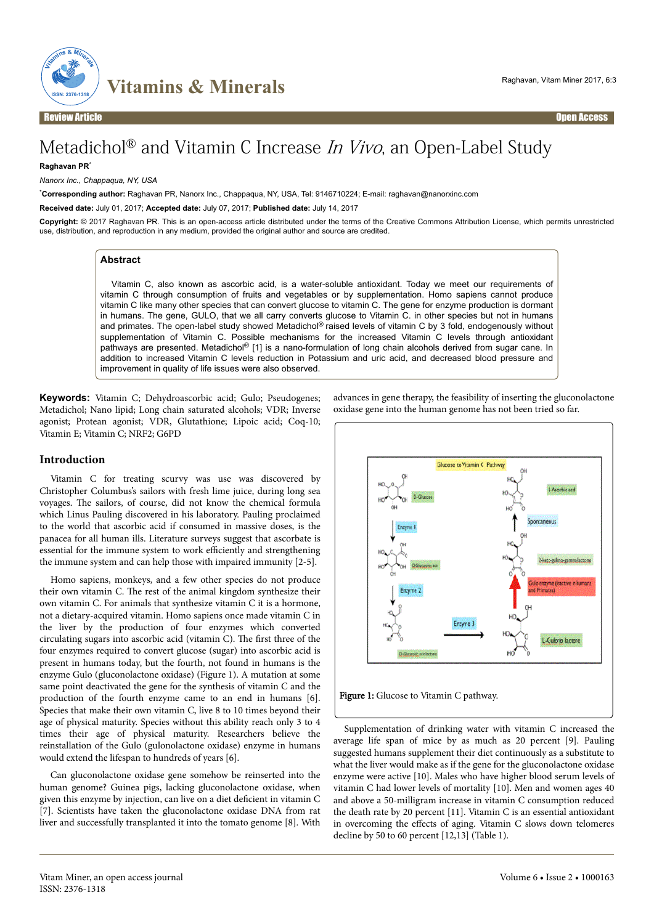

# Metadichol<sup>®</sup> and Vitamin C Increase *In Vivo*, an Open-Label Study

**Raghavan PR**\*

*Nanorx Inc., Chappaqua, NY, USA*

\***Corresponding author:** Raghavan PR, Nanorx Inc., Chappaqua, NY, USA, Tel: 9146710224; E-mail: raghavan@nanorxinc.com

**Received date:** July 01, 2017; **Accepted date:** July 07, 2017; **Published date:** July 14, 2017

**Copyright:** © 2017 Raghavan PR. This is an open-access article distributed under the terms of the Creative Commons Attribution License, which permits unrestricted use, distribution, and reproduction in any medium, provided the original author and source are credited.

### **Abstract**

Vitamin C, also known as ascorbic acid, is a water-soluble antioxidant. Today we meet our requirements of vitamin C through consumption of fruits and vegetables or by supplementation. Homo sapiens cannot produce vitamin C like many other species that can convert glucose to vitamin C. The gene for enzyme production is dormant in humans. The gene, GULO, that we all carry converts glucose to Vitamin C. in other species but not in humans and primates. The open-label study showed Metadichol® raised levels of vitamin C by 3 fold, endogenously without supplementation of Vitamin C. Possible mechanisms for the increased Vitamin C levels through antioxidant pathways are presented. Metadichol® [1] is a nano-formulation of long chain alcohols derived from sugar cane. In addition to increased Vitamin C levels reduction in Potassium and uric acid, and decreased blood pressure and improvement in quality of life issues were also observed.

**Keywords:** Vitamin C; Dehydroascorbic acid; Gulo; Pseudogenes; Metadichol; Nano lipid; Long chain saturated alcohols; VDR; Inverse agonist; Protean agonist; VDR, Glutathione; Lipoic acid; Coq-10; Vitamin E; Vitamin C; NRF2; G6PD

#### **Introduction**

Vitamin C for treating scurvy was use was discovered by Christopher Columbus's sailors with fresh lime juice, during long sea voyages. Нe sailors, of course, did not know the chemical formula which Linus Pauling discovered in his laboratory. Pauling proclaimed to the world that ascorbic acid if consumed in massive doses, is the panacea for all human ills. Literature surveys suggest that ascorbate is essential for the immune system to work efficiently and strengthening the immune system and can help those with impaired immunity [2-5].

Homo sapiens, monkeys, and a few other species do not produce their own vitamin C. Нe rest of the animal kingdom synthesize their own vitamin C. For animals that synthesize vitamin C it is a hormone, not a dietary-acquired vitamin. Homo sapiens once made vitamin C in the liver by the production of four enzymes which converted circulating sugars into ascorbic acid (vitamin C). Нe first three of the four enzymes required to convert glucose (sugar) into ascorbic acid is present in humans today, but the fourth, not found in humans is the enzyme Gulo (gluconolactone oxidase) (Figure 1). A mutation at some same point deactivated the gene for the synthesis of vitamin C and the production of the fourth enzyme came to an end in humans [6]. Species that make their own vitamin C, live 8 to 10 times beyond their age of physical maturity. Species without this ability reach only 3 to 4 times their age of physical maturity. Researchers believe the reinstallation of the Gulo (gulonolactone oxidase) enzyme in humans would extend the lifespan to hundreds of years [6].

Can gluconolactone oxidase gene somehow be reinserted into the human genome? Guinea pigs, lacking gluconolactone oxidase, when given this enzyme by injection, can live on a diet deficient in vitamin C [7]. Scientists have taken the gluconolactone oxidase DNA from rat liver and successfully transplanted it into the tomato genome [8]. With advances in gene therapy, the feasibility of inserting the gluconolactone oxidase gene into the human genome has not been tried so far.



Figure 1: Glucose to Vitamin C pathway.

Supplementation of drinking water with vitamin C increased the average life span of mice by as much as 20 percent [9]. Pauling suggested humans supplement their diet continuously as a substitute to what the liver would make as if the gene for the gluconolactone oxidase enzyme were active [10]. Males who have higher blood serum levels of vitamin C had lower levels of mortality [10]. Men and women ages 40 and above a 50-milligram increase in vitamin C consumption reduced the death rate by 20 percent [11]. Vitamin C is an essential antioxidant in overcoming the effects of aging. Vitamin C slows down telomeres decline by 50 to 60 percent [12,13] (Table 1).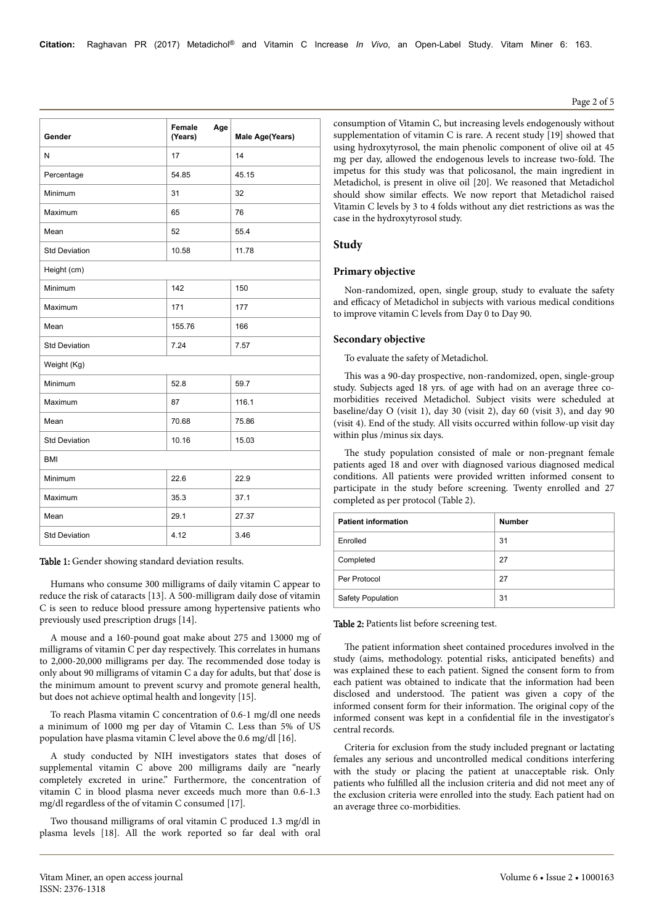| Gender               | Female<br>Age<br>(Years) | <b>Male Age(Years)</b> |
|----------------------|--------------------------|------------------------|
| N                    | 17                       | 14                     |
| Percentage           | 54.85                    | 45.15                  |
| Minimum              | 31                       | 32                     |
| Maximum              | 65                       | 76                     |
| Mean                 | 52                       | 55.4                   |
| <b>Std Deviation</b> | 10.58                    | 11.78                  |
| Height (cm)          |                          |                        |
| Minimum              | 142                      | 150                    |
| Maximum              | 171                      | 177                    |
| Mean                 | 155.76                   | 166                    |
| <b>Std Deviation</b> | 7.24                     | 7.57                   |
| Weight (Kg)          |                          |                        |
| Minimum              | 52.8                     | 59.7                   |
| Maximum              | 87                       | 116.1                  |
| Mean                 | 70.68                    | 75.86                  |
| <b>Std Deviation</b> | 10.16                    | 15.03                  |
| <b>BMI</b>           |                          |                        |
| Minimum              | 22.6                     | 22.9                   |
| Maximum              | 35.3                     | 37.1                   |
| Mean                 | 29.1                     | 27.37                  |
| <b>Std Deviation</b> | 4.12                     | 3.46                   |

Table 1: Gender showing standard deviation results.

Humans who consume 300 milligrams of daily vitamin C appear to reduce the risk of cataracts [13]. A 500-milligram daily dose of vitamin C is seen to reduce blood pressure among hypertensive patients who previously used prescription drugs [14].

A mouse and a 160-pound goat make about 275 and 13000 mg of milligrams of vitamin C per day respectively. This correlates in humans to 2,000-20,000 milligrams per day. Нe recommended dose today is only about 90 milligrams of vitamin C a day for adults, but that' dose is the minimum amount to prevent scurvy and promote general health, but does not achieve optimal health and longevity [15].

To reach Plasma vitamin C concentration of 0.6-1 mg/dl one needs a minimum of 1000 mg per day of Vitamin C. Less than 5% of US population have plasma vitamin C level above the 0.6 mg/dl [16].

A study conducted by NIH investigators states that doses of supplemental vitamin C above 200 milligrams daily are "nearly completely excreted in urine." Furthermore, the concentration of vitamin C in blood plasma never exceeds much more than 0.6-1.3 mg/dl regardless of the of vitamin C consumed [17].

Two thousand milligrams of oral vitamin C produced 1.3 mg/dl in plasma levels [18]. All the work reported so far deal with oral consumption of Vitamin C, but increasing levels endogenously without supplementation of vitamin C is rare. A recent study [19] showed that using hydroxytyrosol, the main phenolic component of olive oil at 45 mg per day, allowed the endogenous levels to increase two-fold. Нe impetus for this study was that policosanol, the main ingredient in Metadichol, is present in olive oil [20]. We reasoned that Metadichol should show similar effects. We now report that Metadichol raised Vitamin C levels by 3 to 4 folds without any diet restrictions as was the case in the hydroxytyrosol study.

## **Study**

## **Primary objective**

Non-randomized, open, single group, study to evaluate the safety and efficacy of Metadichol in subjects with various medical conditions to improve vitamin C levels from Day 0 to Day 90.

## **Secondary objective**

To evaluate the safety of Metadichol.

This was a 90-day prospective, non-randomized, open, single-group study. Subjects aged 18 yrs. of age with had on an average three comorbidities received Metadichol. Subject visits were scheduled at baseline/day O (visit 1), day 30 (visit 2), day 60 (visit 3), and day 90 (visit 4). End of the study. All visits occurred within follow-up visit day within plus /minus six days.

The study population consisted of male or non-pregnant female patients aged 18 and over with diagnosed various diagnosed medical conditions. All patients were provided written informed consent to participate in the study before screening. Twenty enrolled and 27 completed as per protocol (Table 2).

| <b>Patient information</b> | <b>Number</b> |
|----------------------------|---------------|
| Enrolled                   | 31            |
| Completed                  | 27            |
| Per Protocol               | 27            |
| <b>Safety Population</b>   | 31            |

Table 2: Patients list before screening test.

The patient information sheet contained procedures involved in the study (aims, methodology. potential risks, anticipated benefits) and was explained these to each patient. Signed the consent form to from each patient was obtained to indicate that the information had been disclosed and understood. Нe patient was given a copy of the informed consent form for their information. Нe original copy of the informed consent was kept in a confidential file in the investigator's central records.

Criteria for exclusion from the study included pregnant or lactating females any serious and uncontrolled medical conditions interfering with the study or placing the patient at unacceptable risk. Only patients who fulfilled all the inclusion criteria and did not meet any of the exclusion criteria were enrolled into the study. Each patient had on an average three co-morbidities.

#### Page 2 of 5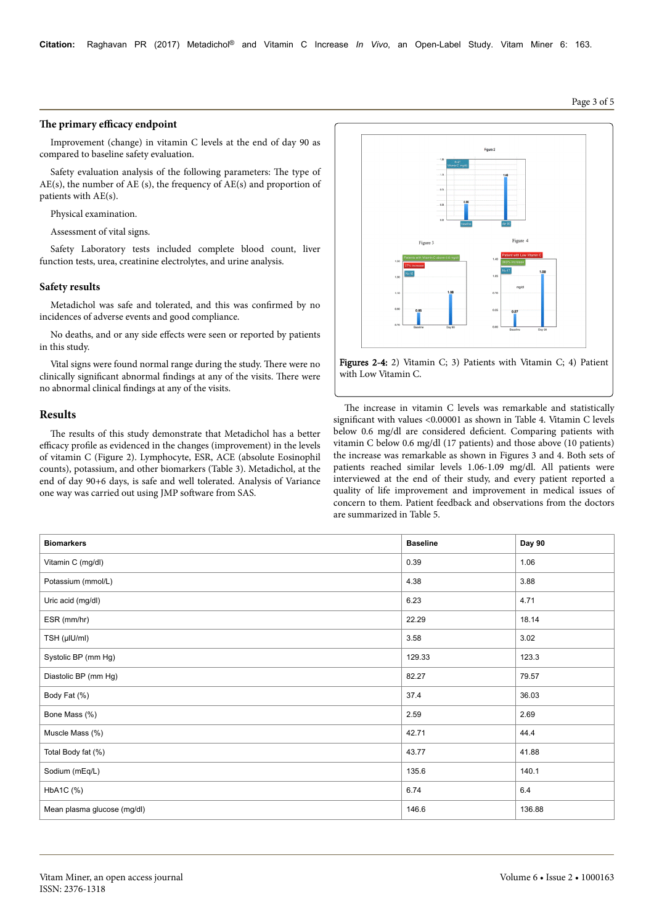#### **The primary efficacy endpoint**

Improvement (change) in vitamin C levels at the end of day 90 as compared to baseline safety evaluation.

Safety evaluation analysis of the following parameters: Нe type of  $AE(s)$ , the number of  $AE(s)$ , the frequency of  $AE(s)$  and proportion of patients with AE(s).

Physical examination.

Assessment of vital signs.

Safety Laboratory tests included complete blood count, liver function tests, urea, creatinine electrolytes, and urine analysis.

#### **Safety results**

Metadichol was safe and tolerated, and this was confirmed by no incidences of adverse events and good compliance.

No deaths, and or any side effects were seen or reported by patients in this study.

Vital signs were found normal range during the study. Нere were no clinically significant abnormal findings at any of the visits. There were no abnormal clinical findings at any of the visits.

#### **Results**

The results of this study demonstrate that Metadichol has a better efficacy profile as evidenced in the changes (improvement) in the levels of vitamin C (Figure 2). Lymphocyte, ESR, ACE (absolute Eosinophil counts), potassium, and other biomarkers (Table 3). Metadichol, at the end of day 90+6 days, is safe and well tolerated. Analysis of Variance one way was carried out using JMP software from SAS.



Figures 2-4: 2) Vitamin C; 3) Patients with Vitamin C; 4) Patient with Low Vitamin C.

The increase in vitamin C levels was remarkable and statistically significant with values <0.00001 as shown in Table 4. Vitamin C levels below 0.6 mg/dl are considered deficient. Comparing patients with vitamin C below 0.6 mg/dl (17 patients) and those above (10 patients) the increase was remarkable as shown in Figures 3 and 4. Both sets of patients reached similar levels 1.06-1.09 mg/dl. All patients were interviewed at the end of their study, and every patient reported a quality of life improvement and improvement in medical issues of concern to them. Patient feedback and observations from the doctors are summarized in Table 5.

| <b>Biomarkers</b>           | <b>Baseline</b> | Day 90 |
|-----------------------------|-----------------|--------|
| Vitamin C (mg/dl)           | 0.39            | 1.06   |
| Potassium (mmol/L)          | 4.38            | 3.88   |
| Uric acid (mg/dl)           | 6.23            | 4.71   |
| ESR (mm/hr)                 | 22.29           | 18.14  |
| TSH (µIU/ml)                | 3.58            | 3.02   |
| Systolic BP (mm Hg)         | 129.33          | 123.3  |
| Diastolic BP (mm Hg)        | 82.27           | 79.57  |
| Body Fat (%)                | 37.4            | 36.03  |
| Bone Mass (%)               | 2.59            | 2.69   |
| Muscle Mass (%)             | 42.71           | 44.4   |
| Total Body fat (%)          | 43.77           | 41.88  |
| Sodium (mEq/L)              | 135.6           | 140.1  |
| HbA1C (%)                   | 6.74            | 6.4    |
| Mean plasma glucose (mg/dl) | 146.6           | 136.88 |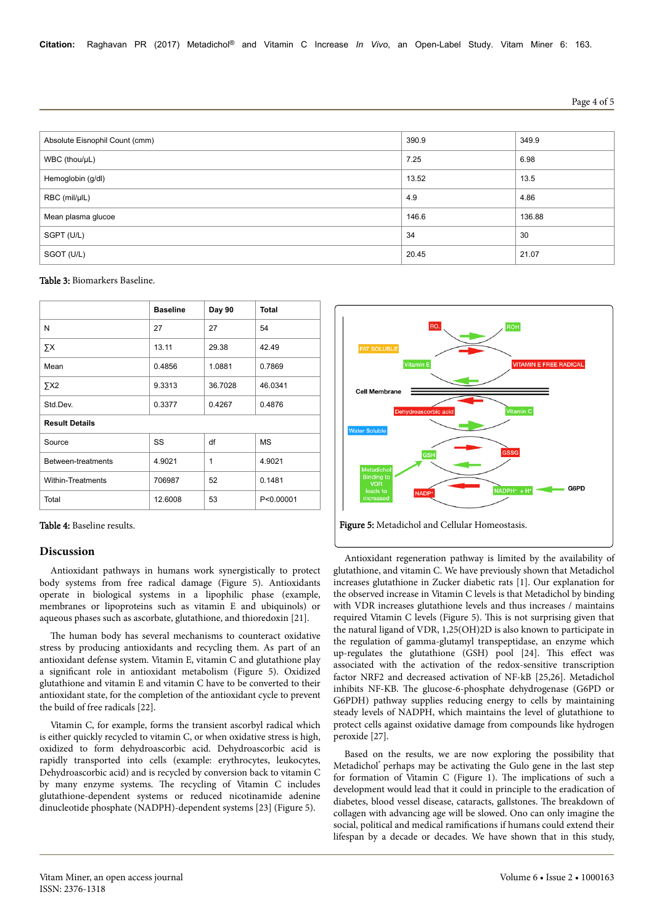Page 4 of 5

| Absolute Eisnophil Count (cmm) | 390.9 | 349.9  |
|--------------------------------|-------|--------|
| WBC (thou/µL)                  | 7.25  | 6.98   |
| Hemoglobin (g/dl)              | 13.52 | 13.5   |
| RBC (mil/µIL)                  | 4.9   | 4.86   |
| Mean plasma glucoe             | 146.6 | 136.88 |
| SGPT (U/L)                     | 34    | 30     |
| SGOT (U/L)                     | 20.45 | 21.07  |

#### Table 3: Biomarkers Baseline.

|                          | <b>Baseline</b> | Day 90  | <b>Total</b> |
|--------------------------|-----------------|---------|--------------|
| N                        | 27              | 27      | 54           |
| ΣX                       | 13.11           | 29.38   | 42.49        |
| Mean                     | 0.4856          | 1.0881  | 0.7869       |
| 5x2                      | 9.3313          | 36.7028 | 46.0341      |
| Std.Dev.                 | 0.3377          | 0.4267  | 0.4876       |
| <b>Result Details</b>    |                 |         |              |
| Source                   | SS              | df      | MS           |
| Between-treatments       | 4.9021          | 1       | 4.9021       |
| <b>Within-Treatments</b> | 706987          | 52      | 0.1481       |
| Total                    | 12.6008         | 53      | P<0.00001    |

Table 4: Baseline results.

## **Discussion**

Antioxidant pathways in humans work synergistically to protect body systems from free radical damage (Figure 5). Antioxidants operate in biological systems in a lipophilic phase (example, membranes or lipoproteins such as vitamin E and ubiquinols) or aqueous phases such as ascorbate, glutathione, and thioredoxin [21].

The human body has several mechanisms to counteract oxidative stress by producing antioxidants and recycling them. As part of an antioxidant defense system. Vitamin E, vitamin C and glutathione play a significant role in antioxidant metabolism (Figure 5). Oxidized glutathione and vitamin E and vitamin C have to be converted to their antioxidant state, for the completion of the antioxidant cycle to prevent the build of free radicals [22].

Vitamin C, for example, forms the transient ascorbyl radical which is either quickly recycled to vitamin C, or when oxidative stress is high, oxidized to form dehydroascorbic acid. Dehydroascorbic acid is rapidly transported into cells (example: erythrocytes, leukocytes, Dehydroascorbic acid) and is recycled by conversion back to vitamin C by many enzyme systems. Нe recycling of Vitamin C includes glutathione-dependent systems or reduced nicotinamide adenine dinucleotide phosphate (NADPH)-dependent systems [23] (Figure 5).



Antioxidant regeneration pathway is limited by the availability of glutathione, and vitamin C. We have previously shown that Metadichol increases glutathione in Zucker diabetic rats [1]. Our explanation for the observed increase in Vitamin C levels is that Metadichol by binding with VDR increases glutathione levels and thus increases / maintains required Vitamin C levels (Figure 5). This is not surprising given that the natural ligand of VDR, 1,25(OH)2D is also known to participate in the regulation of gamma-glutamyl transpeptidase, an enzyme which up-regulates the glutathione (GSH) pool [24]. This effect was associated with the activation of the redox-sensitive transcription factor NRF2 and decreased activation of NF-kB [25,26]. Metadichol inhibits NF-KB. Нe glucose-6-phosphate dehydrogenase (G6PD or G6PDH) pathway supplies reducing energy to cells by maintaining steady levels of NADPH, which maintains the level of glutathione to protect cells against oxidative damage from compounds like hydrogen peroxide [27].

Based on the results, we are now exploring the possibility that Metadichol<sup>®</sup> perhaps may be activating the Gulo gene in the last step for formation of Vitamin C (Figure 1). Нe implications of such a development would lead that it could in principle to the eradication of diabetes, blood vessel disease, cataracts, gallstones. Нe breakdown of collagen with advancing age will be slowed. Ono can only imagine the social, political and medical ramifications if humans could extend their lifespan by a decade or decades. We have shown that in this study,